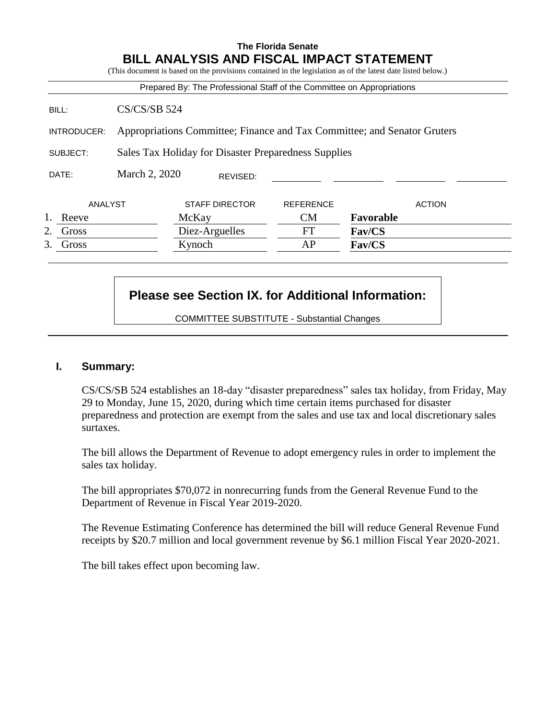## **The Florida Senate BILL ANALYSIS AND FISCAL IMPACT STATEMENT** (This document is based on the provisions contained in the legislation as of the latest date listed below.) Prepared By: The Professional Staff of the Committee on Appropriations BILL: CS/CS/SB 524 INTRODUCER: Appropriations Committee; Finance and Tax Committee; and Senator Gruters SUBJECT: Sales Tax Holiday for Disaster Preparedness Supplies DATE: March 2, 2020 ANALYST STAFF DIRECTOR REFERENCE ACTION 1. Reeve McKay CM **Favorable** 2. Gross Diez-Arguelles FT **Fav/CS** 3. Gross Kynoch AP **Fav/CS** REVISED:

## **Please see Section IX. for Additional Information:**

COMMITTEE SUBSTITUTE - Substantial Changes

## **I. Summary:**

CS/CS/SB 524 establishes an 18-day "disaster preparedness" sales tax holiday, from Friday, May 29 to Monday, June 15, 2020, during which time certain items purchased for disaster preparedness and protection are exempt from the sales and use tax and local discretionary sales surtaxes.

The bill allows the Department of Revenue to adopt emergency rules in order to implement the sales tax holiday.

The bill appropriates \$70,072 in nonrecurring funds from the General Revenue Fund to the Department of Revenue in Fiscal Year 2019-2020.

The Revenue Estimating Conference has determined the bill will reduce General Revenue Fund receipts by \$20.7 million and local government revenue by \$6.1 million Fiscal Year 2020-2021.

The bill takes effect upon becoming law.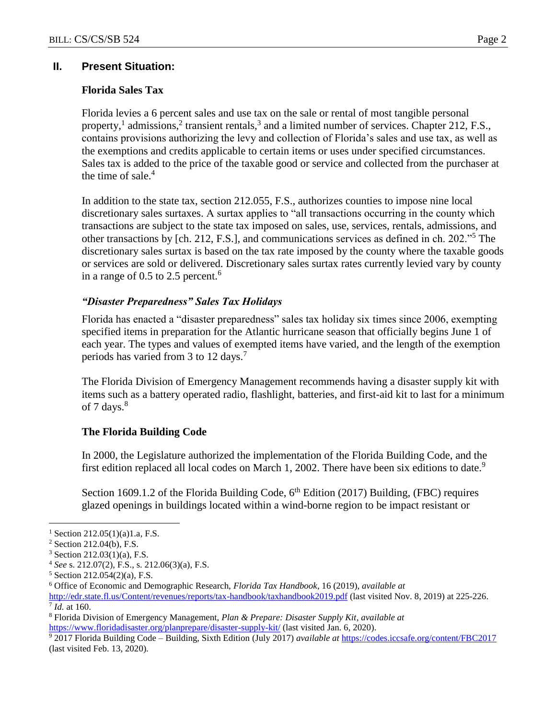## **II. Present Situation:**

## **Florida Sales Tax**

Florida levies a 6 percent sales and use tax on the sale or rental of most tangible personal property,<sup>1</sup> admissions,<sup>2</sup> transient rentals,<sup>3</sup> and a limited number of services. Chapter 212, F.S., contains provisions authorizing the levy and collection of Florida's sales and use tax, as well as the exemptions and credits applicable to certain items or uses under specified circumstances. Sales tax is added to the price of the taxable good or service and collected from the purchaser at the time of sale. $4$ 

In addition to the state tax, section 212.055, F.S., authorizes counties to impose nine local discretionary sales surtaxes. A surtax applies to "all transactions occurring in the county which transactions are subject to the state tax imposed on sales, use, services, rentals, admissions, and other transactions by [ch. 212, F.S.], and communications services as defined in ch. 202."<sup>5</sup> The discretionary sales surtax is based on the tax rate imposed by the county where the taxable goods or services are sold or delivered. Discretionary sales surtax rates currently levied vary by county in a range of  $0.5$  to  $2.5$  percent.<sup>6</sup>

## *"Disaster Preparedness" Sales Tax Holidays*

Florida has enacted a "disaster preparedness" sales tax holiday six times since 2006, exempting specified items in preparation for the Atlantic hurricane season that officially begins June 1 of each year. The types and values of exempted items have varied, and the length of the exemption periods has varied from 3 to 12 days.<sup>7</sup>

The Florida Division of Emergency Management recommends having a disaster supply kit with items such as a battery operated radio, flashlight, batteries, and first-aid kit to last for a minimum of 7 days. $8^{\circ}$ 

## **The Florida Building Code**

In 2000, the Legislature authorized the implementation of the Florida Building Code, and the first edition replaced all local codes on March 1, 2002. There have been six editions to date.<sup>9</sup>

Section 1609.1.2 of the Florida Building Code,  $6<sup>th</sup>$  Edition (2017) Building, (FBC) requires glazed openings in buildings located within a wind-borne region to be impact resistant or

 $\overline{a}$ 

<sup>&</sup>lt;sup>1</sup> Section 212.05(1)(a)1.a, F.S.

<sup>2</sup> Section 212.04(b), F.S.

<sup>3</sup> Section 212.03(1)(a), F.S.

<sup>4</sup> *See* s. 212.07(2), F.S., s. 212.06(3)(a), F.S.

<sup>5</sup> Section 212.054(2)(a), F.S.

<sup>6</sup> Office of Economic and Demographic Research, *Florida Tax Handbook*, 16 (2019), *available at*

<http://edr.state.fl.us/Content/revenues/reports/tax-handbook/taxhandbook2019.pdf> (last visited Nov. 8, 2019) at 225-226. 7 *Id.* at 160.

<sup>8</sup> Florida Division of Emergency Management, *Plan & Prepare: Disaster Supply Kit*, *available at* <https://www.floridadisaster.org/planprepare/disaster-supply-kit/> (last visited Jan. 6, 2020).

<sup>9</sup> 2017 Florida Building Code – Building, Sixth Edition (July 2017) *available at* <https://codes.iccsafe.org/content/FBC2017> (last visited Feb. 13, 2020).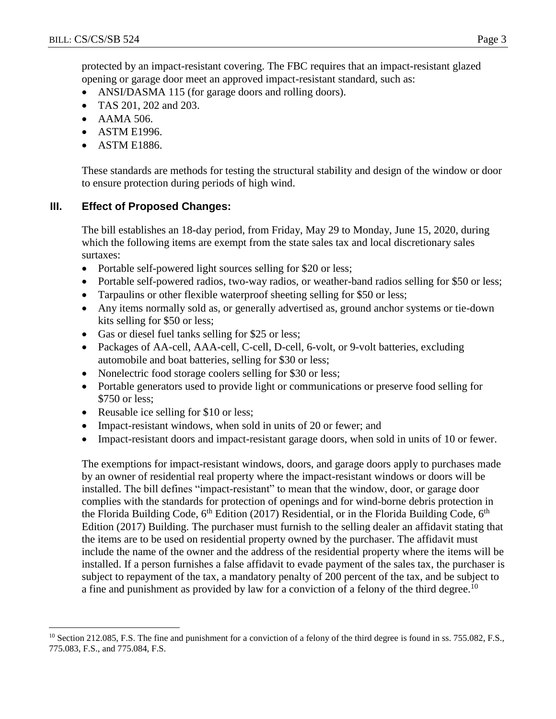protected by an impact-resistant covering. The FBC requires that an impact-resistant glazed opening or garage door meet an approved impact-resistant standard, such as:

- ANSI/DASMA 115 (for garage doors and rolling doors).
- TAS 201, 202 and 203.
- AAMA 506.
- ASTM E1996.
- ASTM E1886.

These standards are methods for testing the structural stability and design of the window or door to ensure protection during periods of high wind.

## **III. Effect of Proposed Changes:**

The bill establishes an 18-day period, from Friday, May 29 to Monday, June 15, 2020, during which the following items are exempt from the state sales tax and local discretionary sales surtaxes:

- Portable self-powered light sources selling for \$20 or less;
- Portable self-powered radios, two-way radios, or weather-band radios selling for \$50 or less;
- Tarpaulins or other flexible waterproof sheeting selling for \$50 or less;
- Any items normally sold as, or generally advertised as, ground anchor systems or tie-down kits selling for \$50 or less;
- Gas or diesel fuel tanks selling for \$25 or less;
- Packages of AA-cell, AAA-cell, C-cell, D-cell, 6-volt, or 9-volt batteries, excluding automobile and boat batteries, selling for \$30 or less;
- Nonelectric food storage coolers selling for \$30 or less;
- Portable generators used to provide light or communications or preserve food selling for \$750 or less;
- Reusable ice selling for \$10 or less;

 $\overline{a}$ 

- Impact-resistant windows, when sold in units of 20 or fewer; and
- Impact-resistant doors and impact-resistant garage doors, when sold in units of 10 or fewer.

The exemptions for impact-resistant windows, doors, and garage doors apply to purchases made by an owner of residential real property where the impact-resistant windows or doors will be installed. The bill defines "impact-resistant" to mean that the window, door, or garage door complies with the standards for protection of openings and for wind-borne debris protection in the Florida Building Code,  $6<sup>th</sup>$  Edition (2017) Residential, or in the Florida Building Code,  $6<sup>th</sup>$ Edition (2017) Building. The purchaser must furnish to the selling dealer an affidavit stating that the items are to be used on residential property owned by the purchaser. The affidavit must include the name of the owner and the address of the residential property where the items will be installed. If a person furnishes a false affidavit to evade payment of the sales tax, the purchaser is subject to repayment of the tax, a mandatory penalty of 200 percent of the tax, and be subject to a fine and punishment as provided by law for a conviction of a felony of the third degree.<sup>10</sup>

<sup>&</sup>lt;sup>10</sup> Section 212.085, F.S. The fine and punishment for a conviction of a felony of the third degree is found in ss. 755.082, F.S., 775.083, F.S., and 775.084, F.S.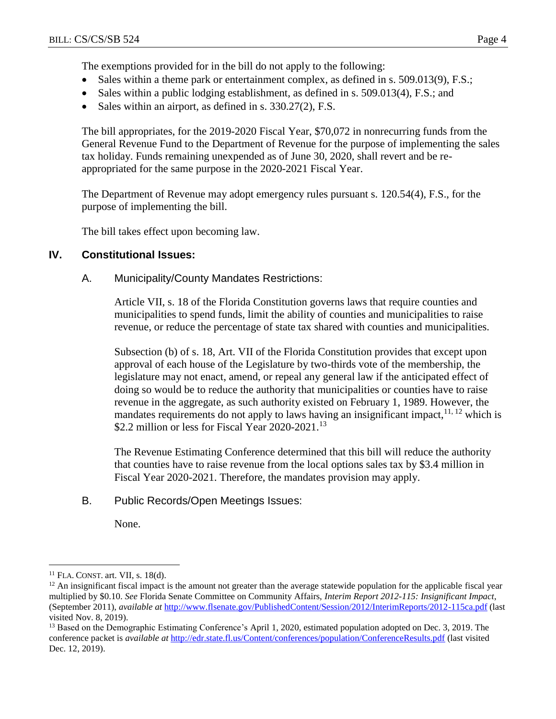The exemptions provided for in the bill do not apply to the following:

- Sales within a theme park or entertainment complex, as defined in s. 509.013(9), F.S.;
- Sales within a public lodging establishment, as defined in s. 509.013(4), F.S.; and
- Sales within an airport, as defined in s. 330.27(2), F.S.

The bill appropriates, for the 2019-2020 Fiscal Year, \$70,072 in nonrecurring funds from the General Revenue Fund to the Department of Revenue for the purpose of implementing the sales tax holiday. Funds remaining unexpended as of June 30, 2020, shall revert and be reappropriated for the same purpose in the 2020-2021 Fiscal Year.

The Department of Revenue may adopt emergency rules pursuant s. 120.54(4), F.S., for the purpose of implementing the bill.

The bill takes effect upon becoming law.

#### **IV. Constitutional Issues:**

A. Municipality/County Mandates Restrictions:

Article VII, s. 18 of the Florida Constitution governs laws that require counties and municipalities to spend funds, limit the ability of counties and municipalities to raise revenue, or reduce the percentage of state tax shared with counties and municipalities.

Subsection (b) of s. 18, Art. VII of the Florida Constitution provides that except upon approval of each house of the Legislature by two-thirds vote of the membership, the legislature may not enact, amend, or repeal any general law if the anticipated effect of doing so would be to reduce the authority that municipalities or counties have to raise revenue in the aggregate, as such authority existed on February 1, 1989. However, the mandates requirements do not apply to laws having an insignificant impact,  $11, 12$  which is \$2.2 million or less for Fiscal Year 2020-2021.<sup>13</sup>

The Revenue Estimating Conference determined that this bill will reduce the authority that counties have to raise revenue from the local options sales tax by \$3.4 million in Fiscal Year 2020-2021. Therefore, the mandates provision may apply.

B. Public Records/Open Meetings Issues:

None.

 $\overline{a}$ 

 $11$  FLA. CONST. art. VII, s. 18(d).

<sup>&</sup>lt;sup>12</sup> An insignificant fiscal impact is the amount not greater than the average statewide population for the applicable fiscal year multiplied by \$0.10. *See* Florida Senate Committee on Community Affairs, *Interim Report 2012-115: Insignificant Impact*, (September 2011), *available at* <http://www.flsenate.gov/PublishedContent/Session/2012/InterimReports/2012-115ca.pdf> (last visited Nov. 8, 2019).

<sup>&</sup>lt;sup>13</sup> Based on the Demographic Estimating Conference's April 1, 2020, estimated population adopted on Dec. 3, 2019. The conference packet is *available at* <http://edr.state.fl.us/Content/conferences/population/ConferenceResults.pdf> (last visited Dec. 12, 2019).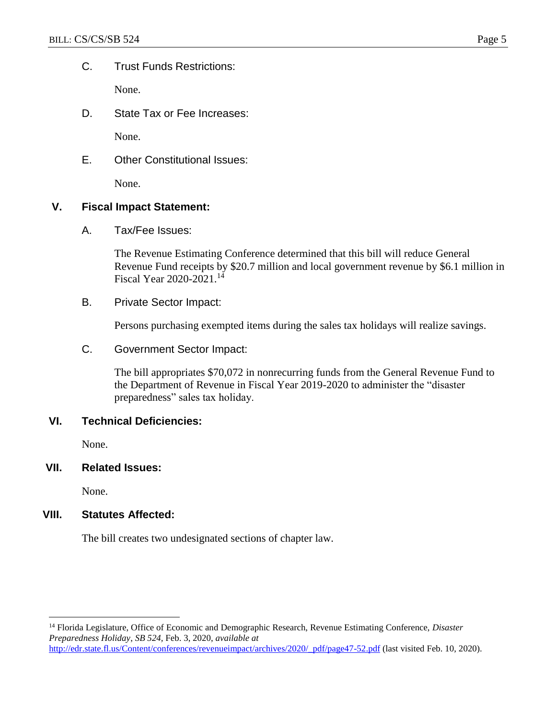C. Trust Funds Restrictions:

None.

D. State Tax or Fee Increases:

None.

E. Other Constitutional Issues:

None.

#### **V. Fiscal Impact Statement:**

A. Tax/Fee Issues:

The Revenue Estimating Conference determined that this bill will reduce General Revenue Fund receipts by \$20.7 million and local government revenue by \$6.1 million in Fiscal Year 2020-2021.<sup>14</sup>

B. Private Sector Impact:

Persons purchasing exempted items during the sales tax holidays will realize savings.

C. Government Sector Impact:

The bill appropriates \$70,072 in nonrecurring funds from the General Revenue Fund to the Department of Revenue in Fiscal Year 2019-2020 to administer the "disaster preparedness" sales tax holiday.

## **VI. Technical Deficiencies:**

None.

**VII. Related Issues:**

None.

 $\overline{a}$ 

## **VIII. Statutes Affected:**

The bill creates two undesignated sections of chapter law.

<sup>14</sup> Florida Legislature, Office of Economic and Demographic Research, Revenue Estimating Conference, *Disaster Preparedness Holiday*, *SB 524,* Feb. 3, 2020, *available at*  [http://edr.state.fl.us/Content/conferences/revenueimpact/archives/2020/\\_pdf/page47-52.pdf](http://edr.state.fl.us/Content/conferences/revenueimpact/archives/2020/_pdf/page47-52.pdf) (last visited Feb. 10, 2020).